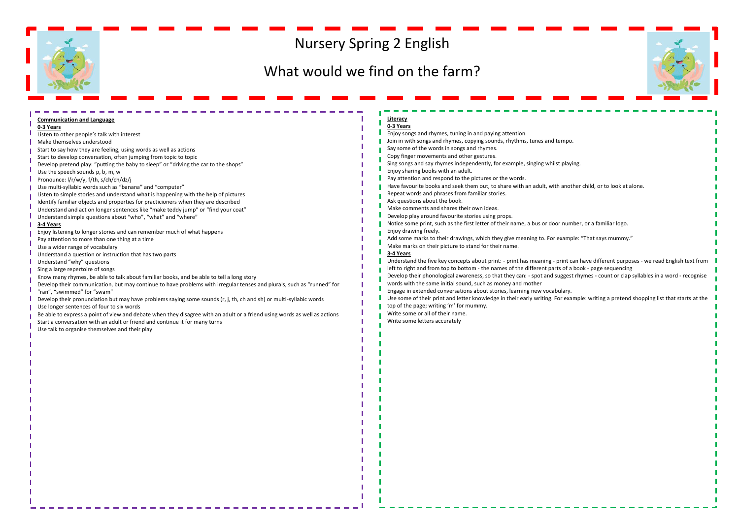## Nursery Spring 2 English

## What would we find on the farm?



| <b>Communication and Language</b>                                                                                         | Literacy                                                                                                                             |  |
|---------------------------------------------------------------------------------------------------------------------------|--------------------------------------------------------------------------------------------------------------------------------------|--|
| 0-3 Years                                                                                                                 | 0-3 Years                                                                                                                            |  |
| Listen to other people's talk with interest                                                                               | Enjoy songs and rhymes, tuning in and paying attention.                                                                              |  |
| Make themselves understood                                                                                                | Join in with songs and rhymes, copying sounds, rhythms, tunes and tempo.                                                             |  |
| Start to say how they are feeling, using words as well as actions                                                         | Say some of the words in songs and rhymes.                                                                                           |  |
| Start to develop conversation, often jumping from topic to topic                                                          | Copy finger movements and other gestures.                                                                                            |  |
| Develop pretend play: "putting the baby to sleep" or "driving the car to the shops"                                       | Sing songs and say rhymes independently, for example, singing whilst playing.                                                        |  |
| Use the speech sounds p, b, m, w                                                                                          | Enjoy sharing books with an adult.                                                                                                   |  |
| Pronounce: I/r/w/y, f/th, s/ch/ch/dz/j                                                                                    | Pay attention and respond to the pictures or the words.                                                                              |  |
| Use multi-syllabic words such as "banana" and "computer"                                                                  | Have favourite books and seek them out, to share with an adult, with another child, or to look at alone.                             |  |
| Listen to simple stories and understand what is happening with the help of pictures                                       | Repeat words and phrases from familiar stories.                                                                                      |  |
| Identify familiar objects and properties for practicioners when they are described                                        | Ask questions about the book.                                                                                                        |  |
| Understand and act on longer sentences like "make teddy jump" or "find your coat"                                         | Make comments and shares their own ideas.                                                                                            |  |
| Understand simple questions about "who", "what" and "where"                                                               | Develop play around favourite stories using props.                                                                                   |  |
| 3-4 Years                                                                                                                 | Notice some print, such as the first letter of their name, a bus or door number, or a familiar logo.                                 |  |
| Enjoy listening to longer stories and can remember much of what happens                                                   | Enjoy drawing freely.                                                                                                                |  |
| Pay attention to more than one thing at a time                                                                            | Add some marks to their drawings, which they give meaning to. For example: "That says mummy."                                        |  |
| Use a wider range of vocabulary                                                                                           | Make marks on their picture to stand for their name.                                                                                 |  |
| Understand a question or instruction that has two parts                                                                   | 3-4 Years                                                                                                                            |  |
| Understand "why" questions                                                                                                | Understand the five key concepts about print: - print has meaning - print can have different purposes - we read English text from    |  |
| Sing a large repertoire of songs                                                                                          | left to right and from top to bottom - the names of the different parts of a book - page sequencing                                  |  |
| Know many rhymes, be able to talk about familiar books, and be able to tell a long story                                  | Develop their phonological awareness, so that they can: - spot and suggest rhymes - count or clap syllables in a word - recognise    |  |
| Develop their communication, but may continue to have problems with irregular tenses and plurals, such as "runned" for    | words with the same initial sound, such as money and mother                                                                          |  |
| "ran", "swimmed" for "swam"                                                                                               | Engage in extended conversations about stories, learning new vocabulary.                                                             |  |
| Develop their pronunciation but may have problems saying some sounds (r, j, th, ch and sh) or multi-syllabic words        | Use some of their print and letter knowledge in their early writing. For example: writing a pretend shopping list that starts at the |  |
| Use longer sentences of four to six words                                                                                 | top of the page; writing 'm' for mummy.                                                                                              |  |
| Be able to express a point of view and debate when they disagree with an adult or a friend using words as well as actions | Write some or all of their name.                                                                                                     |  |
| Start a conversation with an adult or friend and continue it for many turns                                               | Write some letters accurately                                                                                                        |  |
| Use talk to organise themselves and their play                                                                            |                                                                                                                                      |  |
|                                                                                                                           |                                                                                                                                      |  |
|                                                                                                                           |                                                                                                                                      |  |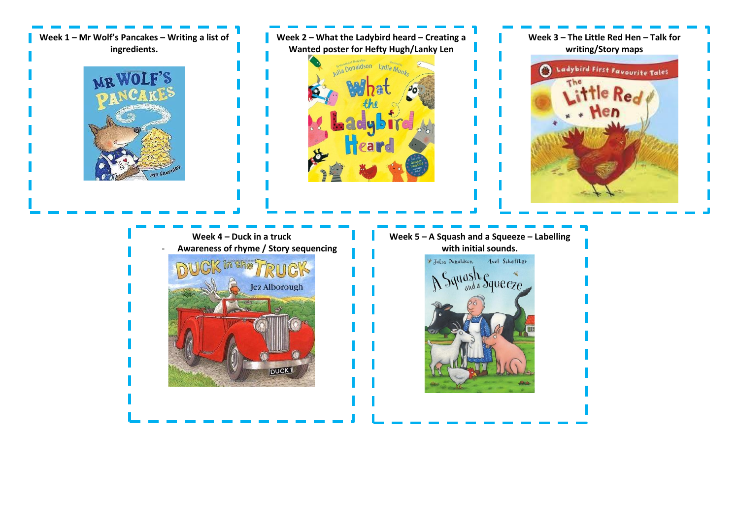**Week 1 – Mr Wolf's Pancakes – Writing a list of ingredients.**



**Week 2 – What the Ladybird heard – Creating a Wanted poster for Hefty Hugh/Lanky Len**





**Week 4 – Duck in a truck** - **Awareness of rhyme / Story sequencing**  in Che  $G\triangleright$ Jez Alborough **DUCK** 

**Week 5 – A Squash and a Squeeze – Labelling with initial sounds.** *F* Julia Donaldson Axel Scheffler A Squash Squeeze